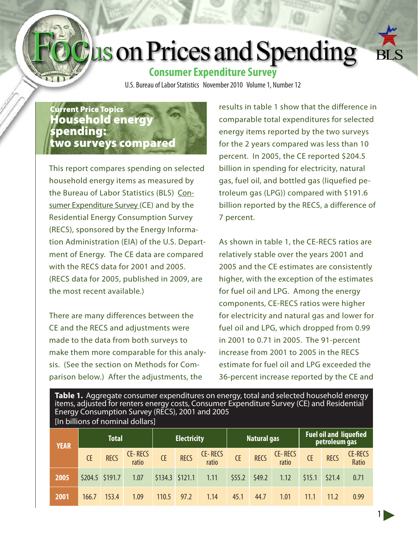# Jus on Prices and Spending

## **Consumer Expenditure Survey**

U.S. Bureau of Labor Statistics November 2010 Volume 1, Number 12

### Current Price Topics Household energy spending: two surveys compared

This report compares spending on selected household energy items as measured by the Bureau of Labor Statistics (BLS) [Con](http://www.bls.gov/cex/)[sumer Expenditure Survey](http://www.bls.gov/cex/) (CE) and by the Residential Energy Consumption Survey (RECS), sponsored by the Energy Information Administration (EIA) of the U.S. Department of Energy. The CE data are compared with the RECS data for 2001 and 2005. (RECS data for 2005, published in 2009, are the most recent available.)

There are many differences between the CE and the RECS and adjustments were made to the data from both surveys to make them more comparable for this analysis. (See the section on Methods for Comparison below.) After the adjustments, the

results in table 1 show that the difference in comparable total expenditures for selected energy items reported by the two surveys for the 2 years compared was less than 10 percent. In 2005, the CE reported \$204.5 billion in spending for electricity, natural gas, fuel oil, and bottled gas (liquefied petroleum gas (LPG)) compared with \$191.6 billion reported by the RECS, a difference of 7 percent.

As shown in table 1, the CE-RECS ratios are relatively stable over the years 2001 and 2005 and the CE estimates are consistently higher, with the exception of the estimates for fuel oil and LPG. Among the energy components, CE-RECS ratios were higher for electricity and natural gas and lower for fuel oil and LPG, which dropped from 0.99 in 2001 to 0.71 in 2005. The 91-percent increase from 2001 to 2005 in the RECS estimate for fuel oil and LPG exceeded the 36-percent increase reported by the CE and

1

**Table 1.** Aggregate consumer expenditures on energy, total and selected household energy items, adjusted for renters energy costs, Consumer Expenditure Survey (CE) and Residential Energy Consumption Survey (RECS), 2001 and 2005 [In billions of nominal dollars]

| <b>YEAR</b> | <b>Total</b> |                 |                  | <b>Electricity</b> |                   |                  | Natural gas |             |                  | <b>Fuel oil and liquefied</b><br>petroleum gas |             |                         |
|-------------|--------------|-----------------|------------------|--------------------|-------------------|------------------|-------------|-------------|------------------|------------------------------------------------|-------------|-------------------------|
|             | <b>CE</b>    | <b>RECS</b>     | CE-RECS<br>ratio | <b>CE</b>          | <b>RECS</b>       | CE-RECS<br>ratio | <b>CE</b>   | <b>RECS</b> | CE-RECS<br>ratio | <b>CE</b>                                      | <b>RECS</b> | <b>CE-RECS</b><br>Ratio |
| 2005        |              | \$204.5 \$191.7 | 1.07             |                    | $$134.3$ $$121.1$ | 1.11             | \$55.2      | \$49.2      | 1.12             | \$15.1                                         | \$21.4      | 0.71                    |
| 2001        | 166.7        | 153.4           | 1.09             | 110.5              | 97.2              | 1.14             | 45.1        | 44.7        | 1.01             | 11.1                                           | 11.2        | 0.99                    |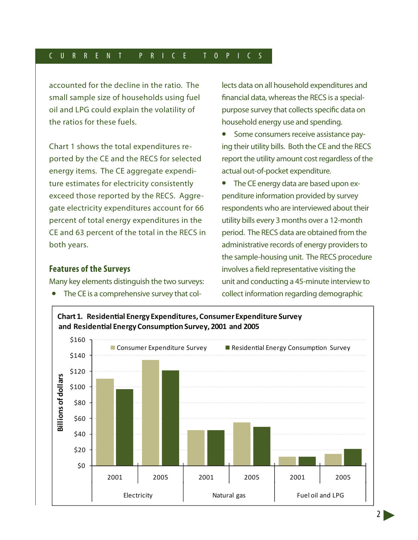#### C U R R E N T P R I C E T O P I C S

accounted for the decline in the ratio. The small sample size of households using fuel oil and LPG could explain the volatility of the ratios for these fuels.

Chart 1 shows the total expenditures reported by the CE and the RECS for selected energy items. The CE aggregate expenditure estimates for electricity consistently exceed those reported by the RECS. Aggregate electricity expenditures account for 66 percent of total energy expenditures in the CE and 63 percent of the total in the RECS in both years.

#### **Features of the Surveys**

Many key elements distinguish the two surveys:

• The CE is a comprehensive survey that col-

lects data on all household expenditures and financial data, whereas the RECS is a specialpurpose survey that collects specific data on household energy use and spending.

- Some consumers receive assistance paying their utility bills. Both the CE and the RECS report the utility amount cost regardless of the actual out-of-pocket expenditure.
- The CE energy data are based upon expenditure information provided by survey respondents who are interviewed about their utility bills every 3 months over a 12-month period. The RECS data are obtained from the administrative records of energy providers to the sample-housing unit. The RECS procedure involves a field representative visiting the unit and conducting a 45-minute interview to collect information regarding demographic

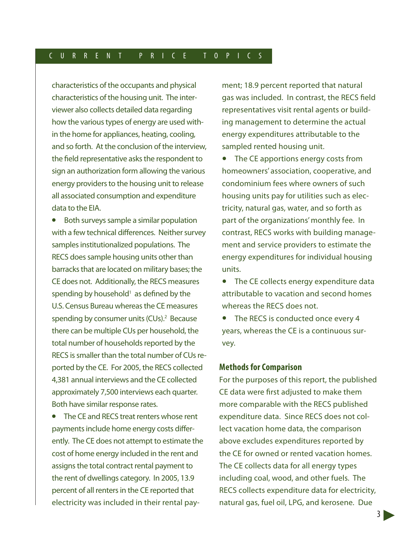#### C U R R E N T P R I C E T O P I C S

characteristics of the occupants and physical characteristics of the housing unit. The interviewer also collects detailed data regarding how the various types of energy are used within the home for appliances, heating, cooling, and so forth. At the conclusion of the interview, the field representative asks the respondent to sign an authorization form allowing the various energy providers to the housing unit to release all associated consumption and expenditure data to the EIA.

• Both surveys sample a similar population with a few technical differences. Neither survey samples institutionalized populations. The RECS does sample housing units other than barracks that are located on military bases; the CE does not. Additionally, the RECS measures spending by household $<sup>1</sup>$  as defined by the</sup> U.S. Census Bureau whereas the CE measures spending by consumer units (CUs).<sup>2</sup> Because there can be multiple CUs per household, the total number of households reported by the RECS is smaller than the total number of CUs reported by the CE. For 2005, the RECS collected 4,381 annual interviews and the CE collected approximately 7,500 interviews each quarter. Both have similar response rates.

• The CE and RECS treat renters whose rent payments include home energy costs differently. The CE does not attempt to estimate the cost of home energy included in the rent and assigns the total contract rental payment to the rent of dwellings category. In 2005, 13.9 percent of all renters in the CE reported that electricity was included in their rental payment; 18.9 percent reported that natural gas was included. In contrast, the RECS field representatives visit rental agents or building management to determine the actual energy expenditures attributable to the sampled rented housing unit.

• The CE apportions energy costs from homeowners' association, cooperative, and condominium fees where owners of such housing units pay for utilities such as electricity, natural gas, water, and so forth as part of the organizations' monthly fee. In contrast, RECS works with building management and service providers to estimate the energy expenditures for individual housing units.

• The CE collects energy expenditure data attributable to vacation and second homes whereas the RECS does not.

• The RECS is conducted once every 4 years, whereas the CE is a continuous survey.

#### **Methods for Comparison**

For the purposes of this report, the published CE data were first adjusted to make them more comparable with the RECS published expenditure data. Since RECS does not collect vacation home data, the comparison above excludes expenditures reported by the CE for owned or rented vacation homes. The CE collects data for all energy types including coal, wood, and other fuels. The RECS collects expenditure data for electricity, natural gas, fuel oil, LPG, and kerosene. Due